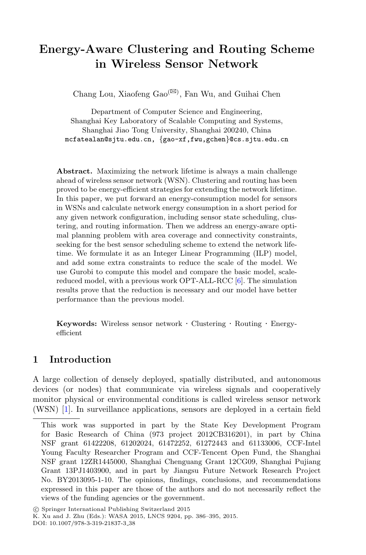# **Energy-Aware Clustering and Routing Scheme in Wireless Sensor Network**

Chang Lou, Xiaofeng $\text{Gao}^{\text{(} \boxtimes \text{)}}$ , Fan Wu, and Guihai Chen

Department of Computer Science and Engineering, Shanghai Key Laboratory of Scalable Computing and Systems, Shanghai Jiao Tong University, Shanghai 200240, China mcfatealan@sjtu.edu.cn, {gao-xf,fwu,gchen}@cs.sjtu.edu.cn

**Abstract.** Maximizing the network lifetime is always a main challenge ahead of wireless sensor network (WSN). Clustering and routing has been proved to be energy-efficient strategies for extending the network lifetime. In this paper, we put forward an energy-consumption model for sensors in WSNs and calculate network energy consumption in a short period for any given network configuration, including sensor state scheduling, clustering, and routing information. Then we address an energy-aware optimal planning problem with area coverage and connectivity constraints, seeking for the best sensor scheduling scheme to extend the network lifetime. We formulate it as an Integer Linear Programming (ILP) model, and add some extra constraints to reduce the scale of the model. We use Gurobi to compute this model and compare the basic model, scalereduced model, with a previous work OPT-ALL-RCC [\[6](#page-9-0)]. The simulation results prove that the reduction is necessary and our model have better performance than the previous model.

**Keywords:** Wireless sensor network · Clustering · Routing · Energyefficient

# **1 Introduction**

A large collection of densely deployed, spatially distributed, and autonomous devices (or nodes) that communicate via wireless signals and cooperatively monitor physical or environmental conditions is called wireless sensor network (WSN) [\[1](#page-9-1)]. In surveillance applications, sensors are deployed in a certain field

This work was supported in part by the State Key Development Program for Basic Research of China (973 project 2012CB316201), in part by China NSF grant 61422208, 61202024, 61472252, 61272443 and 61133006, CCF-Intel Young Faculty Researcher Program and CCF-Tencent Open Fund, the Shanghai NSF grant 12ZR1445000, Shanghai Chenguang Grant 12CG09, Shanghai Pujiang Grant 13PJ1403900, and in part by Jiangsu Future Network Research Project No. BY2013095-1-10. The opinions, findings, conclusions, and recommendations expressed in this paper are those of the authors and do not necessarily reflect the views of the funding agencies or the government.

<sup>-</sup>c Springer International Publishing Switzerland 2015

K. Xu and J. Zhu (Eds.): WASA 2015, LNCS 9204, pp. 386–395, 2015.

DOI: 10.1007/978-3-319-21837-3 38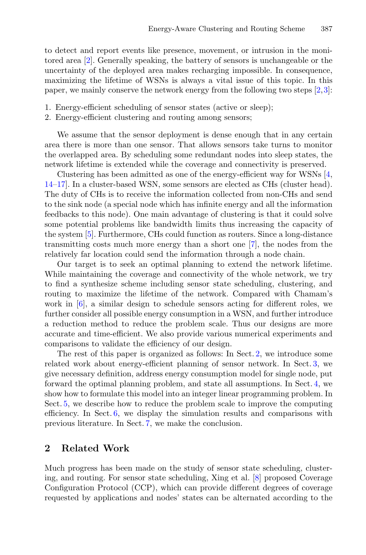to detect and report events like presence, movement, or intrusion in the monitored area [\[2](#page-9-2)]. Generally speaking, the battery of sensors is unchangeable or the uncertainty of the deployed area makes recharging impossible. In consequence, maximizing the lifetime of WSNs is always a vital issue of this topic. In this paper, we mainly conserve the network energy from the following two steps [\[2](#page-9-2),[3\]](#page-9-3):

- 1. Energy-efficient scheduling of sensor states (active or sleep);
- 2. Energy-efficient clustering and routing among sensors;

We assume that the sensor deployment is dense enough that in any certain area there is more than one sensor. That allows sensors take turns to monitor the overlapped area. By scheduling some redundant nodes into sleep states, the network lifetime is extended while the coverage and connectivity is preserved.

Clustering has been admitted as one of the energy-efficient way for WSNs [\[4,](#page-9-4) [14](#page-9-5)[–17](#page-9-6)]. In a cluster-based WSN, some sensors are elected as CHs (cluster head). The duty of CHs is to receive the information collected from non-CHs and send to the sink node (a special node which has infinite energy and all the information feedbacks to this node). One main advantage of clustering is that it could solve some potential problems like bandwidth limits thus increasing the capacity of the system [\[5\]](#page-9-7). Furthermore, CHs could function as routers. Since a long-distance transmitting costs much more energy than a short one [\[7](#page-9-8)], the nodes from the relatively far location could send the information through a node chain.

Our target is to seek an optimal planning to extend the network lifetime. While maintaining the coverage and connectivity of the whole network, we try to find a synthesize scheme including sensor state scheduling, clustering, and routing to maximize the lifetime of the network. Compared with Chamam's work in [\[6](#page-9-0)], a similar design to schedule sensors acting for different roles, we further consider all possible energy consumption in a WSN, and further introduce a reduction method to reduce the problem scale. Thus our designs are more accurate and time-efficient. We also provide various numerical experiments and comparisons to validate the efficiency of our design.

The rest of this paper is organized as follows: In Sect. [2,](#page-1-0) we introduce some related work about energy-efficient planning of sensor network. In Sect. [3,](#page-3-0) we give necessary definition, address energy consumption model for single node, put forward the optimal planning problem, and state all assumptions. In Sect. [4,](#page-5-0) we show how to formulate this model into an integer linear programming problem. In Sect. [5,](#page-6-0) we describe how to reduce the problem scale to improve the computing efficiency. In Sect. [6,](#page-6-1) we display the simulation results and comparisons with previous literature. In Sect. [7,](#page-8-0) we make the conclusion.

# <span id="page-1-0"></span>**2 Related Work**

Much progress has been made on the study of sensor state scheduling, clustering, and routing. For sensor state scheduling, Xing et al. [\[8](#page-9-9)] proposed Coverage Configuration Protocol (CCP), which can provide different degrees of coverage requested by applications and nodes' states can be alternated according to the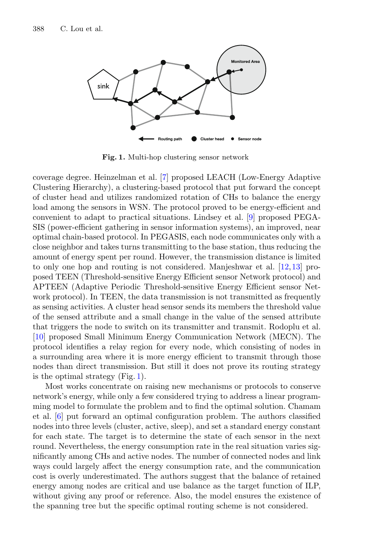

<span id="page-2-0"></span>**Fig. 1.** Multi-hop clustering sensor network

coverage degree. Heinzelman et al. [\[7\]](#page-9-8) proposed LEACH (Low-Energy Adaptive Clustering Hierarchy), a clustering-based protocol that put forward the concept of cluster head and utilizes randomized rotation of CHs to balance the energy load among the sensors in WSN. The protocol proved to be energy-efficient and convenient to adapt to practical situations. Lindsey et al. [\[9\]](#page-9-10) proposed PEGA-SIS (power-efficient gathering in sensor information systems), an improved, near optimal chain-based protocol. In PEGASIS, each node communicates only with a close neighbor and takes turns transmitting to the base station, thus reducing the amount of energy spent per round. However, the transmission distance is limited to only one hop and routing is not considered. Manjeshwar et al. [\[12,](#page-9-11)[13\]](#page-9-12) proposed TEEN (Threshold-sensitive Energy Efficient sensor Network protocol) and APTEEN (Adaptive Periodic Threshold-sensitive Energy Efficient sensor Network protocol). In TEEN, the data transmission is not transmitted as frequently as sensing activities. A cluster head sensor sends its members the threshold value of the sensed attribute and a small change in the value of the sensed attribute that triggers the node to switch on its transmitter and transmit. Rodoplu et al. [\[10](#page-9-13)] proposed Small Minimum Energy Communication Network (MECN). The protocol identifies a relay region for every node, which consisting of nodes in a surrounding area where it is more energy efficient to transmit through those nodes than direct transmission. But still it does not prove its routing strategy is the optimal strategy (Fig. [1\)](#page-2-0).

Most works concentrate on raising new mechanisms or protocols to conserve network's energy, while only a few considered trying to address a linear programming model to formulate the problem and to find the optimal solution. Chamam et al. [\[6](#page-9-0)] put forward an optimal configuration problem. The authors classified nodes into three levels (cluster, active, sleep), and set a standard energy constant for each state. The target is to determine the state of each sensor in the next round. Nevertheless, the energy consumption rate in the real situation varies significantly among CHs and active nodes. The number of connected nodes and link ways could largely affect the energy consumption rate, and the communication cost is overly underestimated. The authors suggest that the balance of retained energy among nodes are critical and use balance as the target function of ILP, without giving any proof or reference. Also, the model ensures the existence of the spanning tree but the specific optimal routing scheme is not considered.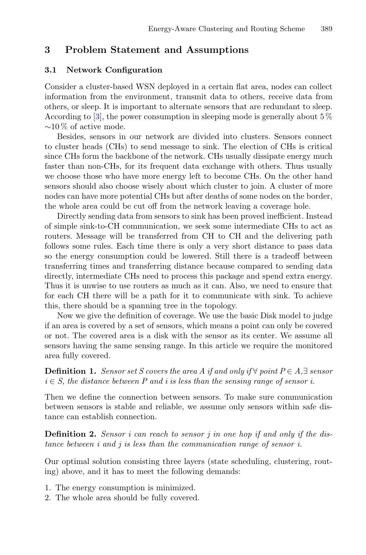# <span id="page-3-0"></span>**3 Problem Statement and Assumptions**

### **3.1 Network Configuration**

Consider a cluster-based WSN deployed in a certain flat area, nodes can collect information from the environment, transmit data to others, receive data from others, or sleep. It is important to alternate sensors that are redundant to sleep. According to [\[3\]](#page-9-3), the power consumption in sleeping mode is generally about  $5\%$  $~\sim$ 10% of active mode.

Besides, sensors in our network are divided into clusters. Sensors connect to cluster heads (CHs) to send message to sink. The election of CHs is critical since CHs form the backbone of the network. CHs usually dissipate energy much faster than non-CHs, for its frequent data exchange with others. Thus usually we choose those who have more energy left to become CHs. On the other hand sensors should also choose wisely about which cluster to join. A cluster of more nodes can have more potential CHs but after deaths of some nodes on the border, the whole area could be cut off from the network leaving a coverage hole.

Directly sending data from sensors to sink has been proved inefficient. Instead of simple sink-to-CH communication, we seek some intermediate CHs to act as routers. Message will be transferred from CH to CH and the delivering path follows some rules. Each time there is only a very short distance to pass data so the energy consumption could be lowered. Still there is a tradeoff between transferring times and transferring distance because compared to sending data directly, intermediate CHs need to process this package and spend extra energy. Thus it is unwise to use routers as much as it can. Also, we need to ensure that for each CH there will be a path for it to communicate with sink. To achieve this, there should be a spanning tree in the topology.

Now we give the definition of coverage. We use the basic Disk model to judge if an area is covered by a set of sensors, which means a point can only be covered or not. The covered area is a disk with the sensor as its center. We assume all sensors having the same sensing range. In this article we require the monitored area fully covered.

**Definition 1.** *Sensor set S covers the area A if and only if*  $\forall$  *point*  $P \in A, \exists$  *sensor*  $i \in S$ , the distance between P and i is less than the sensing range of sensor i.

Then we define the connection between sensors. To make sure communication between sensors is stable and reliable, we assume only sensors within safe distance can establish connection.

**Definition 2.** *Sensor i can reach to sensor j in one hop if and only if the distance between i and j is less than the communication range of sensor i.*

Our optimal solution consisting three layers (state scheduling, clustering, routing) above, and it has to meet the following demands:

- 1. The energy consumption is minimized.
- 2. The whole area should be fully covered.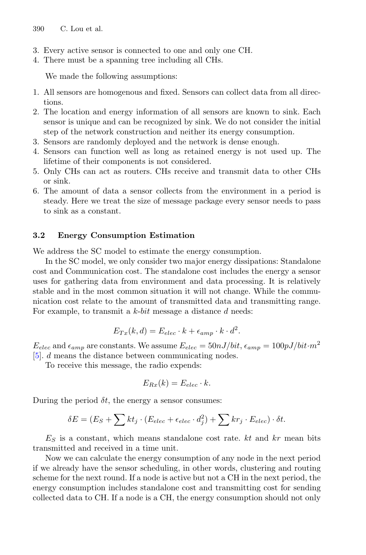- 3. Every active sensor is connected to one and only one CH.
- 4. There must be a spanning tree including all CHs.

We made the following assumptions:

- 1. All sensors are homogenous and fixed. Sensors can collect data from all directions.
- 2. The location and energy information of all sensors are known to sink. Each sensor is unique and can be recognized by sink. We do not consider the initial step of the network construction and neither its energy consumption.
- 3. Sensors are randomly deployed and the network is dense enough.
- 4. Sensors can function well as long as retained energy is not used up. The lifetime of their components is not considered.
- 5. Only CHs can act as routers. CHs receive and transmit data to other CHs or sink.
- 6. The amount of data a sensor collects from the environment in a period is steady. Here we treat the size of message package every sensor needs to pass to sink as a constant.

### **3.2 Energy Consumption Estimation**

We address the SC model to estimate the energy consumption.

In the SC model, we only consider two major energy dissipations: Standalone cost and Communication cost. The standalone cost includes the energy a sensor uses for gathering data from environment and data processing. It is relatively stable and in the most common situation it will not change. While the communication cost relate to the amount of transmitted data and transmitting range. For example, to transmit a  $k$ -bit message a distance  $d$  needs:

$$
E_{Tx}(k,d) = E_{elec} \cdot k + \epsilon_{amp} \cdot k \cdot d^2.
$$

 $E_{elec}$  and  $\epsilon_{amp}$  are constants. We assume  $E_{elec} = 50nJ/bit$ ,  $\epsilon_{amp} = 100pJ/bit \cdot m^2$ [\[5](#page-9-7)]. d means the distance between communicating nodes.

To receive this message, the radio expends:

$$
E_{Rx}(k) = E_{elec} \cdot k.
$$

During the period  $\delta t$ , the energy a sensor consumes:

$$
\delta E = (E_S + \sum kt_j \cdot (E_{elec} + \epsilon_{elec} \cdot d_j^2) + \sum kr_j \cdot E_{elec}) \cdot \delta t.
$$

 $E<sub>S</sub>$  is a constant, which means standalone cost rate. kt and kr mean bits transmitted and received in a time unit.

Now we can calculate the energy consumption of any node in the next period if we already have the sensor scheduling, in other words, clustering and routing scheme for the next round. If a node is active but not a CH in the next period, the energy consumption includes standalone cost and transmitting cost for sending collected data to CH. If a node is a CH, the energy consumption should not only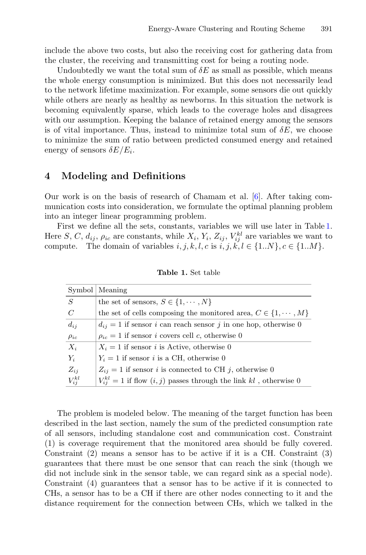include the above two costs, but also the receiving cost for gathering data from the cluster, the receiving and transmitting cost for being a routing node.

Undoubtedly we want the total sum of  $\delta E$  as small as possible, which means the whole energy consumption is minimized. But this does not necessarily lead to the network lifetime maximization. For example, some sensors die out quickly while others are nearly as healthy as newborns. In this situation the network is becoming equivalently sparse, which leads to the coverage holes and disagrees with our assumption. Keeping the balance of retained energy among the sensors is of vital importance. Thus, instead to minimize total sum of  $\delta E$ , we choose to minimize the sum of ratio between predicted consumed energy and retained energy of sensors  $\delta E/E_i$ .

### <span id="page-5-0"></span>**4 Modeling and Definitions**

Our work is on the basis of research of Chamam et al. [\[6](#page-9-0)]. After taking communication costs into consideration, we formulate the optimal planning problem into an integer linear programming problem.

First we define all the sets, constants, variables we will use later in Table [1.](#page-5-1) Here S, C,  $d_{ij}$ ,  $\rho_{ic}$  are constants, while  $X_i$ ,  $Y_i$ ,  $Z_{ij}$ ,  $V_{ij}^{kl}$  are variables we want to compute. The domain of variables  $i, j, k, l, c$  is  $i, j, k, l \in \{1..N\}, c \in \{1..M\}.$ 

|               | Symbol   Meaning                                                           |
|---------------|----------------------------------------------------------------------------|
| S             | the set of sensors, $S \in \{1, \cdots, N\}$                               |
| C             | the set of cells composing the monitored area, $C \in \{1, \dots, M\}$     |
| $d_{ij}$      | $d_{ij} = 1$ if sensor i can reach sensor j in one hop, otherwise 0        |
| $\rho_{ic}$   | $\rho_{ic} = 1$ if sensor <i>i</i> covers cell <i>c</i> , otherwise 0      |
| $X_i$         | $X_i = 1$ if sensor <i>i</i> is Active, otherwise 0                        |
| $Y_i$         | $Y_i = 1$ if sensor <i>i</i> is a CH, otherwise 0                          |
| $Z_{ii}$      | $Z_{ij} = 1$ if sensor i is connected to CH j, otherwise 0                 |
| $V_{ii}^{kl}$ | $V_{ii}^{kl} = 1$ if flow $(i, j)$ passes through the link kl, otherwise 0 |

<span id="page-5-1"></span>**Table 1.** Set table

The problem is modeled below. The meaning of the target function has been described in the last section, namely the sum of the predicted consumption rate of all sensors, including standalone cost and communication cost. Constraint (1) is coverage requirement that the monitored area should be fully covered. Constraint (2) means a sensor has to be active if it is a CH. Constraint (3) guarantees that there must be one sensor that can reach the sink (though we did not include sink in the sensor table, we can regard sink as a special node). Constraint (4) guarantees that a sensor has to be active if it is connected to CHs, a sensor has to be a CH if there are other nodes connecting to it and the distance requirement for the connection between CHs, which we talked in the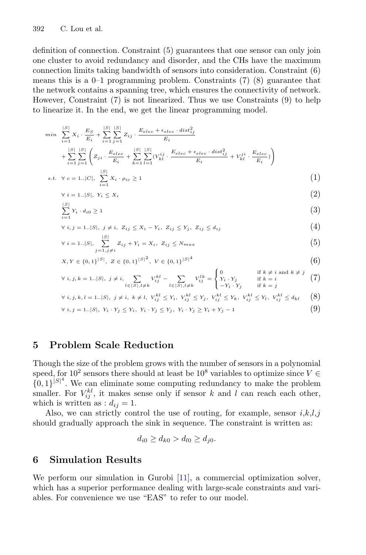definition of connection. Constraint (5) guarantees that one sensor can only join one cluster to avoid redundancy and disorder, and the CHs have the maximum connection limits taking bandwidth of sensors into consideration. Constraint (6) means this is a  $0-1$  programming problem. Constraints (7) (8) guarantee that the network contains a spanning tree, which ensures the connectivity of network. However, Constraint (7) is not linearized. Thus we use Constraints (9) to help to linearize it. In the end, we get the linear programming model.

$$
\min \sum_{i=1}^{|S|} X_i \cdot \frac{E_S}{E_i} + \sum_{i=1}^{|S|} \sum_{j=1}^{|S|} Z_{ij} \cdot \frac{E_{elec} + \epsilon_{elec} \cdot dist_{ij}^2}{E_i} + \sum_{i=1}^{|S|} \sum_{j=1}^{|S|} \left( Z_{ji} \cdot \frac{E_{elec}}{E_i} + \sum_{k=1}^{|S|} \sum_{l=1}^{|S|} (V_{kl}^{ij} \cdot \frac{E_{elec} + \epsilon_{elec} \cdot dist_{ij}^2}{E_i} + V_{kl}^{ji} \cdot \frac{E_{elec}}{E_i}) \right)
$$
  
s.t.  $\forall c = 1..|C|$ ,  $\sum_{i=1}^{|S|} X_i \cdot \rho_{ic} \ge 1$  (1)

$$
\forall i = 1..|S|, Y_i \le X_i \tag{2}
$$

$$
\sum_{i=1}^{|S|} Y_i \cdot d_{i0} \ge 1 \tag{3}
$$

$$
\forall i, j = 1..|S|, j \neq i, Z_{ij} \leq X_i - Y_i, Z_{ij} \leq Y_j, Z_{ij} \leq d_{ij}
$$
\n
$$
(4)
$$

$$
\forall i = 1..|S|, \sum_{j=1, j \neq i}^{|S|} Z_{ij} + Y_i = X_i, \ Z_{ij} \le N_{max}
$$
\n(5)

$$
X, Y \in \{0, 1\}^{|S|}, \ Z \in \{0, 1\}^{|S|^2}, \ V \in \{0, 1\}^{|S|^4}
$$
 (6)

$$
\forall i, j, k = 1..|S|, j \neq i, \sum_{l \in |S|, l \neq k} V_{ij}^{kl} - \sum_{l \in |S|, l \neq k} V_{ij}^{lk} = \begin{cases} 0 & \text{if } k \neq i \text{ and } k \neq j \\ Y_i \cdot Y_j & \text{if } k = i \\ -Y_i \cdot Y_j & \text{if } k = j \end{cases} (7)
$$

$$
\forall i, j, k, l = 1..|S|, j \neq i, k \neq l, V_{ij}^{kl} \leq Y_i, V_{ij}^{kl} \leq Y_j, V_{ij}^{kl} \leq Y_k, V_{ij}^{kl} \leq Y_l, V_{ij}^{kl} \leq d_{kl} \quad (8)
$$

$$
\forall i, j = 1..|S|, Y_i \cdot Y_j \le Y_i, Y_i \cdot Y_j \le Y_j, Y_i \cdot Y_j \ge Y_i + Y_j - 1
$$
\n(9)

# <span id="page-6-0"></span>**5 Problem Scale Reduction**

Though the size of the problem grows with the number of sensors in a polynomial speed, for 10<sup>2</sup> sensors there should at least be 10<sup>8</sup> variables to optimize since  $V \in$  ${0, 1}^{|S|^4}$ . We can eliminate some computing redundancy to make the problem smaller. For  $V_{ij}^{kl}$ , it makes sense only if sensor k and l can reach each other, which is written as :  $d_{ij} = 1$ .

Also, we can strictly control the use of routing, for example, sensor  $i, k, l, j$ should gradually approach the sink in sequence. The constraint is written as:

$$
d_{i0} \ge d_{k0} > d_{l0} \ge d_{j0}.
$$

# <span id="page-6-1"></span>**6 Simulation Results**

We perform our simulation in Gurobi [\[11](#page-9-14)], a commercial optimization solver, which has a superior performance dealing with large-scale constraints and variables. For convenience we use "EAS" to refer to our model.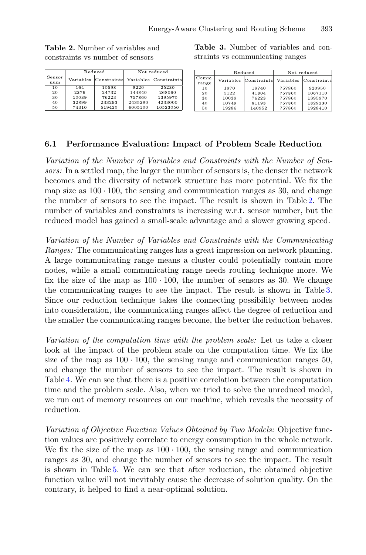Reduced Not reduced Sensor Variables Constraint Variables Constraint num 10598 8220  $\overline{10}$ 164 25230  $\tilde{20}$ 2376 24732 144840 268060  $30^{\circ}$ 10039 76993 757860 1395970 32899 233293 2435280 4233000  $40$  $50$ 74310 519420 6005100 10523050

<span id="page-7-1"></span>**Table 3.** Number of variables and constraints vs communicating ranges

|                | Reduced |                       | Not reduced |                       |
|----------------|---------|-----------------------|-------------|-----------------------|
| Comm.<br>range |         | Variables Constraints |             | Variables Constraints |
| 10             | 1970    | 19740                 | 757860      | 920950                |
| 20             | 5122    | 41804                 | 757860      | 1067110               |
| 30             | 10039   | 76223                 | 757860      | 1395970               |
| 40             | 10749   | 81193                 | 757860      | 1829230               |
| 50             | 19286   | 140952                | 757860      | 1928410               |

### **6.1 Performance Evaluation: Impact of Problem Scale Reduction**

*Variation of the Number of Variables and Constraints with the Number of Sensors:* In a settled map, the larger the number of sensors is, the denser the network becomes and the diversity of network structure has more potential. We fix the map size as  $100 \cdot 100$ , the sensing and communication ranges as 30, and change the number of sensors to see the impact. The result is shown in Table [2.](#page-7-0) The number of variables and constraints is increasing w.r.t. sensor number, but the reduced model has gained a small-scale advantage and a slower growing speed.

*Variation of the Number of Variables and Constraints with the Communicating Ranges:* The communicating ranges has a great impression on network planning. A large communicating range means a cluster could potentially contain more nodes, while a small communicating range needs routing technique more. We fix the size of the map as  $100 \cdot 100$ , the number of sensors as 30. We change the communicating ranges to see the impact. The result is shown in Table [3.](#page-7-1) Since our reduction technique takes the connecting possibility between nodes into consideration, the communicating ranges affect the degree of reduction and the smaller the communicating ranges become, the better the reduction behaves.

*Variation of the computation time with the problem scale:* Let us take a closer look at the impact of the problem scale on the computation time. We fix the size of the map as  $100 \cdot 100$ , the sensing range and communication ranges 50, and change the number of sensors to see the impact. The result is shown in Table [4.](#page-8-1) We can see that there is a positive correlation between the computation time and the problem scale. Also, when we tried to solve the unreduced model, we run out of memory resources on our machine, which reveals the necessity of reduction.

*Variation of Objective Function Values Obtained by Two Models:* Objective function values are positively correlate to energy consumption in the whole network. We fix the size of the map as  $100 \cdot 100$ , the sensing range and communication ranges as 30, and change the number of sensors to see the impact. The result is shown in Table [5.](#page-8-2) We can see that after reduction, the obtained objective function value will not inevitably cause the decrease of solution quality. On the contrary, it helped to find a near-optimal solution.

<span id="page-7-0"></span>**Table 2.** Number of variables and constraints vs number of sensors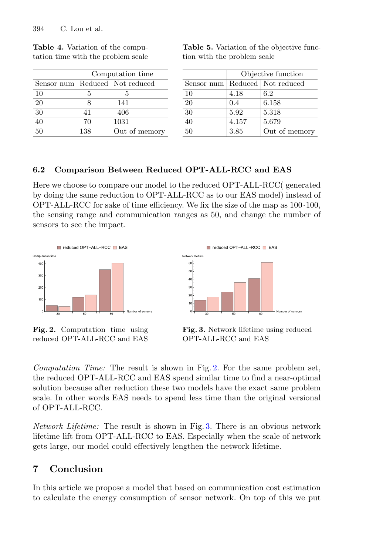|                 | Computation time |                                    |  |
|-----------------|------------------|------------------------------------|--|
|                 |                  | Sensor num   Reduced   Not reduced |  |
| 10              | 5                | 5                                  |  |
| 20              | x                | 141                                |  |
| $\overline{30}$ | 41               | 406                                |  |
| $\overline{40}$ | 70               | 1031                               |  |
| $50^{\circ}$    | 138              | Out of memory                      |  |

<span id="page-8-1"></span>

|  | <b>Table 4.</b> Variation of the compu- |  |  |
|--|-----------------------------------------|--|--|
|  | tation time with the problem scale      |  |  |

<span id="page-8-2"></span>

|                             | <b>Table 5.</b> Variation of the objective func- |  |
|-----------------------------|--------------------------------------------------|--|
| tion with the problem scale |                                                  |  |

|            | Objective function |                       |  |
|------------|--------------------|-----------------------|--|
| Sensor num |                    | Reduced   Not reduced |  |
| 10         | 4.18               | 6.2                   |  |
| 20         | 0.4                | 6.158                 |  |
| 30         | 5.92               | 5.318                 |  |
| 40         | 4.157              | 5.679                 |  |
| 50         | 3.85               | Out of memory         |  |

### **6.2 Comparison Between Reduced OPT-ALL-RCC and EAS**

Here we choose to compare our model to the reduced OPT-ALL-RCC( generated by doing the same reduction to OPT-ALL-RCC as to our EAS model) instead of OPT-ALL-RCC for sake of time efficiency. We fix the size of the map as 100·100, the sensing range and communication ranges as 50, and change the number of sensors to see the impact.



<span id="page-8-3"></span>**Fig. 2.** Computation time using reduced OPT-ALL-RCC and EAS



<span id="page-8-4"></span>**Fig. 3.** Network lifetime using reduced OPT-ALL-RCC and EAS

*Computation Time:* The result is shown in Fig. [2.](#page-8-3) For the same problem set, the reduced OPT-ALL-RCC and EAS spend similar time to find a near-optimal solution because after reduction these two models have the exact same problem scale. In other words EAS needs to spend less time than the original versional of OPT-ALL-RCC.

*Network Lifetime:* The result is shown in Fig. [3.](#page-8-4) There is an obvious network lifetime lift from OPT-ALL-RCC to EAS. Especially when the scale of network gets large, our model could effectively lengthen the network lifetime.

# <span id="page-8-0"></span>**7 Conclusion**

In this article we propose a model that based on communication cost estimation to calculate the energy consumption of sensor network. On top of this we put